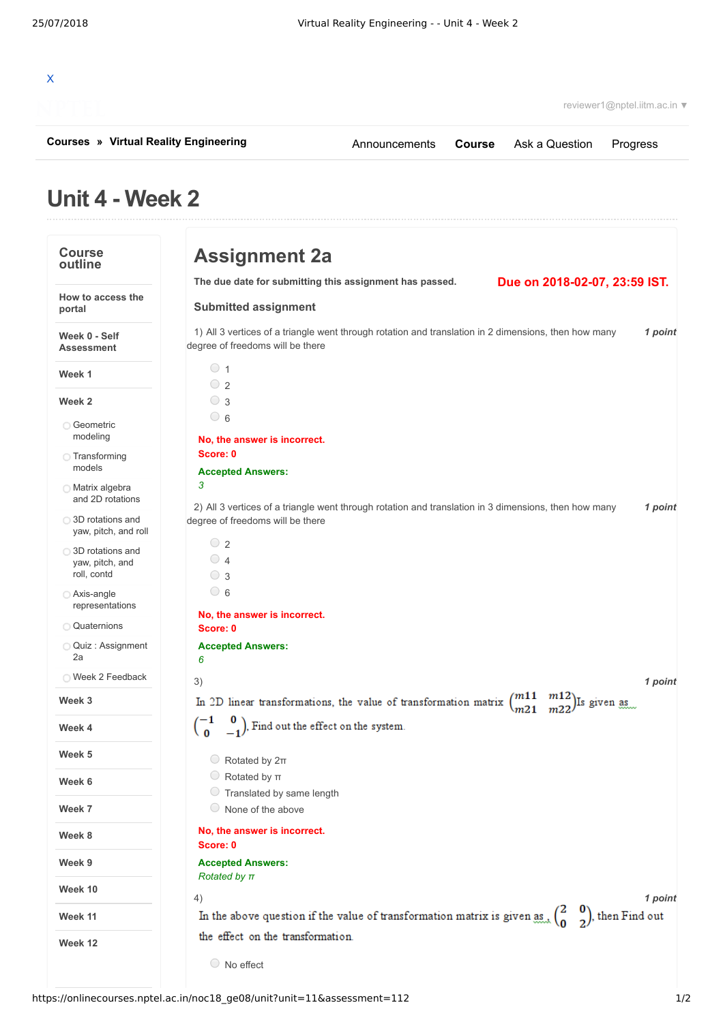| X<br>reviewer1@nptel.iitm.ac.in ▼                    |                                                                                       |                                                                                                                   |               |                               |                                           |
|------------------------------------------------------|---------------------------------------------------------------------------------------|-------------------------------------------------------------------------------------------------------------------|---------------|-------------------------------|-------------------------------------------|
| <b>Courses » Virtual Reality Engineering</b>         |                                                                                       | Announcements                                                                                                     | <b>Course</b> | Ask a Question                | Progress                                  |
| Unit 4 - Week 2                                      |                                                                                       |                                                                                                                   |               |                               |                                           |
| <b>Course</b><br>outline                             | <b>Assignment 2a</b>                                                                  |                                                                                                                   |               |                               |                                           |
|                                                      |                                                                                       | The due date for submitting this assignment has passed.                                                           |               | Due on 2018-02-07, 23:59 IST. |                                           |
| How to access the<br>portal                          | <b>Submitted assignment</b>                                                           |                                                                                                                   |               |                               |                                           |
| Week 0 - Self<br><b>Assessment</b>                   | degree of freedoms will be there                                                      | 1) All 3 vertices of a triangle went through rotation and translation in 2 dimensions, then how many              |               |                               | 1 point                                   |
| Week 1                                               | $\circ$ 1<br>$\bigcirc$ 2                                                             |                                                                                                                   |               |                               |                                           |
| Week 2                                               | $\bigcirc$ 3                                                                          |                                                                                                                   |               |                               |                                           |
| ○ Geometric<br>modeling                              | $\circ$ 6                                                                             |                                                                                                                   |               |                               |                                           |
| ◯ Transforming                                       | No, the answer is incorrect.<br>Score: 0                                              |                                                                                                                   |               |                               |                                           |
| models                                               | <b>Accepted Answers:</b>                                                              |                                                                                                                   |               |                               |                                           |
| <b>Matrix algebra</b><br>and 2D rotations            | 3                                                                                     |                                                                                                                   |               |                               |                                           |
| ◯ 3D rotations and<br>yaw, pitch, and roll           | degree of freedoms will be there                                                      | 2) All 3 vertices of a triangle went through rotation and translation in 3 dimensions, then how many              |               |                               | 1 point                                   |
| ◯ 3D rotations and<br>yaw, pitch, and<br>roll, contd | $\circ$ 2<br>$\circ$ 4<br>$\circ$ 3                                                   |                                                                                                                   |               |                               |                                           |
| Axis-angle<br>representations                        | $\circ$ 6                                                                             |                                                                                                                   |               |                               |                                           |
| <b>Quaternions</b>                                   | No, the answer is incorrect.<br>Score: 0                                              |                                                                                                                   |               |                               |                                           |
| Quiz: Assignment<br>2a                               | <b>Accepted Answers:</b><br>6                                                         |                                                                                                                   |               |                               |                                           |
| ◯ Week 2 Feedback                                    | 3)                                                                                    |                                                                                                                   |               |                               | 1 point                                   |
| Week 3                                               |                                                                                       | In 2D linear transformations, the value of transformation matrix $\binom{m11}{m21}$ $\frac{m12}{m22}$ is given as |               |                               |                                           |
| Week 4                                               | $\begin{pmatrix} -1 & 0 \\ 0 & -1 \end{pmatrix}$ , Find out the effect on the system. |                                                                                                                   |               |                               |                                           |
| Week 5                                               | $\circ$ Rotated by $2\pi$                                                             |                                                                                                                   |               |                               |                                           |
| Week 6                                               | $\circ$ Rotated by $\pi$<br>Translated by same length                                 |                                                                                                                   |               |                               |                                           |
| Week 7                                               | $\circ$ None of the above                                                             |                                                                                                                   |               |                               |                                           |
| Week 8                                               | No, the answer is incorrect.<br>Score: 0                                              |                                                                                                                   |               |                               |                                           |
| Week 9                                               | <b>Accepted Answers:</b>                                                              |                                                                                                                   |               |                               |                                           |
| Week 10                                              | Rotated by $\pi$                                                                      |                                                                                                                   |               |                               |                                           |
| Week 11                                              | 4)                                                                                    | In the above question if the value of transformation matrix is given as.                                          |               |                               | 1 point<br>$\binom{0}{2}$ , then Find out |

the effect on the transformation.

```
O No effect
```
**Week 12**